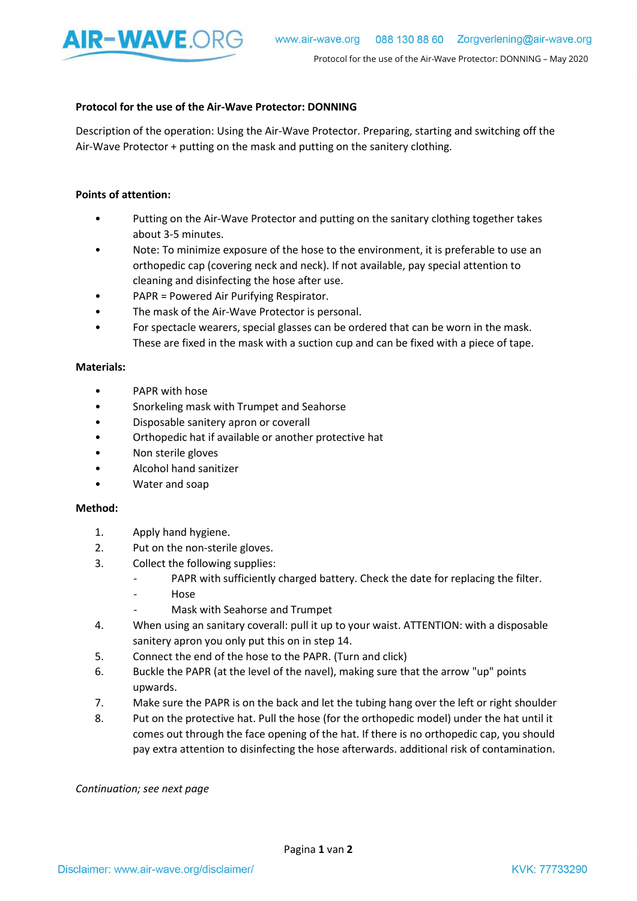

## Protocol for the use of the Air-Wave Protector: DONNING

Description of the operation: Using the Air-Wave Protector. Preparing, starting and switching off the Air-Wave Protector + putting on the mask and putting on the sanitery clothing.

## Points of attention:

- Putting on the Air-Wave Protector and putting on the sanitary clothing together takes about 3-5 minutes.
- Note: To minimize exposure of the hose to the environment, it is preferable to use an orthopedic cap (covering neck and neck). If not available, pay special attention to cleaning and disinfecting the hose after use.
- PAPR = Powered Air Purifying Respirator.
- The mask of the Air-Wave Protector is personal.
- For spectacle wearers, special glasses can be ordered that can be worn in the mask. These are fixed in the mask with a suction cup and can be fixed with a piece of tape.

## Materials:

- PAPR with hose
- Snorkeling mask with Trumpet and Seahorse
- Disposable sanitery apron or coverall
- Orthopedic hat if available or another protective hat
- Non sterile gloves
- Alcohol hand sanitizer
- Water and soap

## Method:

- 1. Apply hand hygiene.
- 2. Put on the non-sterile gloves.
- 3. Collect the following supplies:
	- PAPR with sufficiently charged battery. Check the date for replacing the filter.
	- Hose
	- Mask with Seahorse and Trumpet
- 4. When using an sanitary coverall: pull it up to your waist. ATTENTION: with a disposable sanitery apron you only put this on in step 14.
- 5. Connect the end of the hose to the PAPR. (Turn and click)
- 6. Buckle the PAPR (at the level of the navel), making sure that the arrow "up" points upwards.
- 7. Make sure the PAPR is on the back and let the tubing hang over the left or right shoulder
- 8. Put on the protective hat. Pull the hose (for the orthopedic model) under the hat until it comes out through the face opening of the hat. If there is no orthopedic cap, you should pay extra attention to disinfecting the hose afterwards. additional risk of contamination.

Continuation; see next page